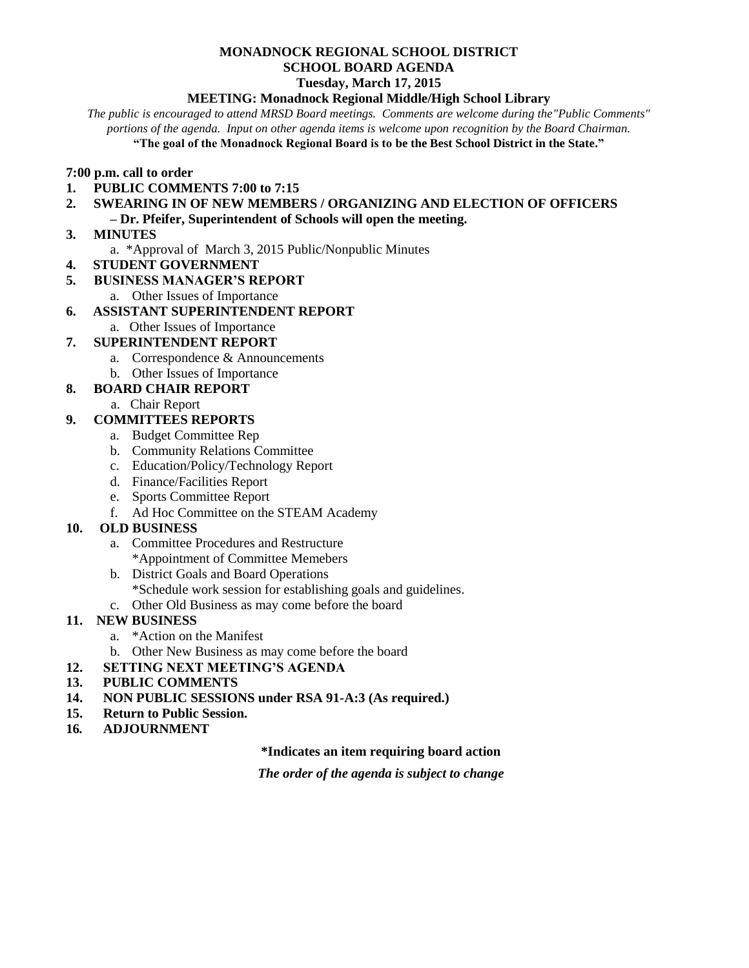#### **MONADNOCK REGIONAL SCHOOL DISTRICT SCHOOL BOARD AGENDA Tuesday, March 17, 2015**

#### **MEETING: Monadnock Regional Middle/High School Library**

*The public is encouraged to attend MRSD Board meetings. Comments are welcome during the"Public Comments" portions of the agenda. Input on other agenda items is welcome upon recognition by the Board Chairman.* **"The goal of the Monadnock Regional Board is to be the Best School District in the State."**

# **7:00 p.m. call to order**

- **1. PUBLIC COMMENTS 7:00 to 7:15**
- **2. SWEARING IN OF NEW MEMBERS / ORGANIZING AND ELECTION OF OFFICERS**
- **– Dr. Pfeifer, Superintendent of Schools will open the meeting.**
- **3. MINUTES**
	- a. \*Approval of March 3, 2015 Public/Nonpublic Minutes
- **4. STUDENT GOVERNMENT**
- **5. BUSINESS MANAGER'S REPORT**
	- a. Other Issues of Importance

# **6. ASSISTANT SUPERINTENDENT REPORT**

a. Other Issues of Importance

# **7. SUPERINTENDENT REPORT**

- a. Correspondence & Announcements
- b. Other Issues of Importance

# **8. BOARD CHAIR REPORT**

a. Chair Report

# **9. COMMITTEES REPORTS**

- a. Budget Committee Rep
- b. Community Relations Committee
- c. Education/Policy/Technology Report
- d. Finance/Facilities Report
- e. Sports Committee Report
- f. Ad Hoc Committee on the STEAM Academy

# **10. OLD BUSINESS**

- a. Committee Procedures and Restructure \*Appointment of Committee Memebers
- b. District Goals and Board Operations \*Schedule work session for establishing goals and guidelines.
- c. Other Old Business as may come before the board

# **11. NEW BUSINESS**

- a. \*Action on the Manifest
- b. Other New Business as may come before the board
- **12. SETTING NEXT MEETING'S AGENDA**
- **13. PUBLIC COMMENTS**
- **14. NON PUBLIC SESSIONS under RSA 91-A:3 (As required.)**
- **15. Return to Public Session.**
- **16***.* **ADJOURNMENT**

#### **\*Indicates an item requiring board action**

*The order of the agenda is subject to change*